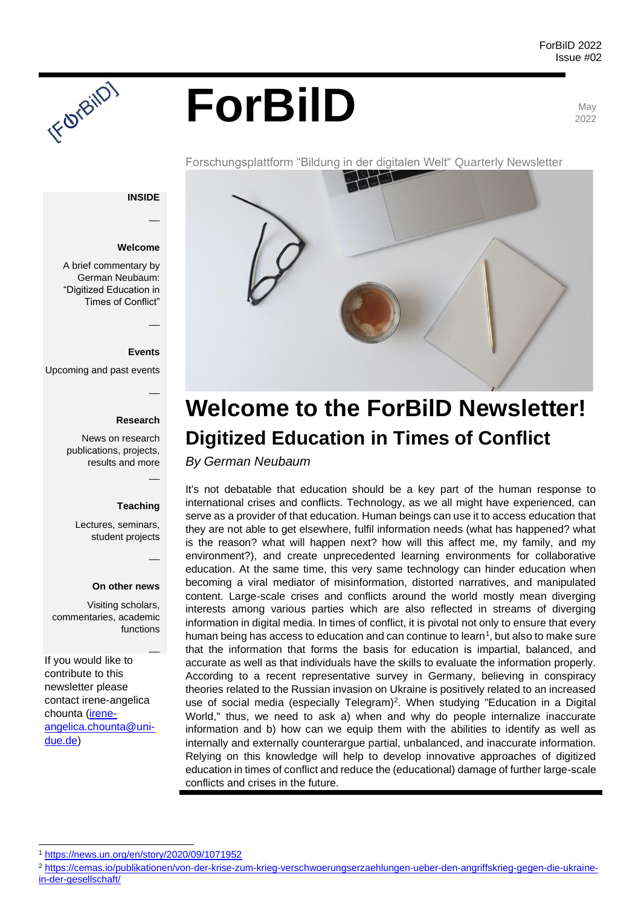# ForBilD

2022



#### **INSIDE**

 $\overline{\phantom{a}}$ 

#### **Welcome**

A brief commentary by German Neubaum: "Digitized Education in Times of Conflict"

TF OTBIIDT

#### **Events**

 $\overline{\phantom{a}}$ 

 $\overline{\phantom{a}}$ 

 $\overline{\phantom{a}}$ 

 $\overline{\phantom{a}}$ 

 $\overline{\phantom{a}}$ 

Upcoming and past events

#### **Research**

News on research publications, projects, results and more

#### **Teaching**

Lectures, seminars, student projects

#### **On other news**

Visiting scholars, commentaries, academic functions

If you would like to contribute to this newsletter please contact irene-angelica chounta [\(irene](mailto:irene-angelica.chounta@uni-due.de)[angelica.chounta@uni](mailto:irene-angelica.chounta@uni-due.de)[due.de\)](mailto:irene-angelica.chounta@uni-due.de)



# **Welcome to the ForBilD Newsletter! Digitized Education in Times of Conflict**

*By German Neubaum*

It's not debatable that education should be a key part of the human response to international crises and conflicts. Technology, as we all might have experienced, can serve as a provider of that education. Human beings can use it to access education that they are not able to get elsewhere, fulfil information needs (what has happened? what is the reason? what will happen next? how will this affect me, my family, and my environment?), and create unprecedented learning environments for collaborative education. At the same time, this very same technology can hinder education when becoming a viral mediator of misinformation, distorted narratives, and manipulated content. Large-scale crises and conflicts around the world mostly mean diverging interests among various parties which are also reflected in streams of diverging information in digital media. In times of conflict, it is pivotal not only to ensure that every human being has access to education and can continue to learn<sup>1</sup>, but also to make sure that the information that forms the basis for education is impartial, balanced, and accurate as well as that individuals have the skills to evaluate the information properly. According to a recent representative survey in Germany, believing in conspiracy theories related to the Russian invasion on Ukraine is positively related to an increased use of social media (especially Telegram)<sup>2</sup>. When studying "Education in a Digital World," thus, we need to ask a) when and why do people internalize inaccurate information and b) how can we equip them with the abilities to identify as well as internally and externally counterargue partial, unbalanced, and inaccurate information. Relying on this knowledge will help to develop innovative approaches of digitized education in times of conflict and reduce the (educational) damage of further large-scale conflicts and crises in the future.

<sup>1</sup> <https://news.un.org/en/story/2020/09/1071952>

<sup>2</sup> [https://cemas.io/publikationen/von-der-krise-zum-krieg-verschwoerungserzaehlungen-ueber-den-angriffskrieg-gegen-die-ukraine](https://cemas.io/publikationen/von-der-krise-zum-krieg-verschwoerungserzaehlungen-ueber-den-angriffskrieg-gegen-die-ukraine-in-der-gesellschaft/)[in-der-gesellschaft/](https://cemas.io/publikationen/von-der-krise-zum-krieg-verschwoerungserzaehlungen-ueber-den-angriffskrieg-gegen-die-ukraine-in-der-gesellschaft/)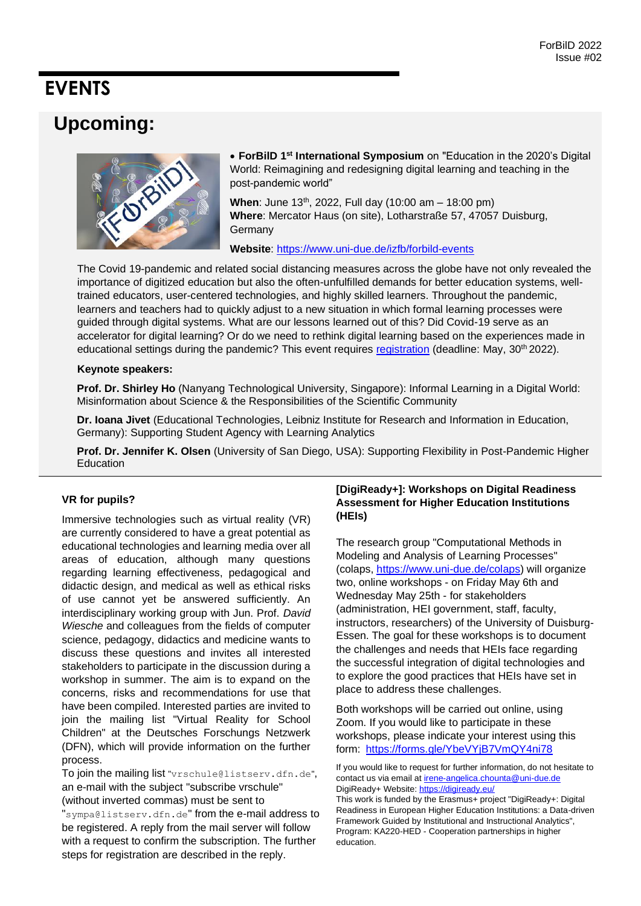### **EVENTS**

### **Upcoming:**



• **ForBilD 1st International Symposium** on "Education in the 2020's Digital World: Reimagining and redesigning digital learning and teaching in the post-pandemic world"

**When:** June 13<sup>th</sup>, 2022, Full day (10:00 am – 18:00 pm) **Where**: Mercator Haus (on site), Lotharstraße 57, 47057 Duisburg, **Germany** 

**Website**:<https://www.uni-due.de/izfb/forbild-events>

The Covid 19-pandemic and related social distancing measures across the globe have not only revealed the importance of digitized education but also the often-unfulfilled demands for better education systems, welltrained educators, user-centered technologies, and highly skilled learners. Throughout the pandemic, learners and teachers had to quickly adjust to a new situation in which formal learning processes were guided through digital systems. What are our lessons learned out of this? Did Covid-19 serve as an accelerator for digital learning? Or do we need to rethink digital learning based on the experiences made in educational settings during the pandemic? This event requires [registration](https://www.uni-due.de/izfb/symposium-reg) (deadline: May, 30<sup>th</sup> 2022).

#### **Keynote speakers:**

**Prof. Dr. Shirley Ho** (Nanyang Technological University, Singapore): Informal Learning in a Digital World: Misinformation about Science & the Responsibilities of the Scientific Community

**Dr. Ioana Jivet** (Educational Technologies, Leibniz Institute for Research and Information in Education, Germany): Supporting Student Agency with Learning Analytics

**Prof. Dr. Jennifer K. Olsen** (University of San Diego, USA): Supporting Flexibility in Post-Pandemic Higher Education

#### **VR for pupils?**

Immersive technologies such as virtual reality (VR) are currently considered to have a great potential as educational technologies and learning media over all areas of education, although many questions regarding learning effectiveness, pedagogical and didactic design, and medical as well as ethical risks of use cannot yet be answered sufficiently. An interdisciplinary working group with Jun. Prof. *David Wiesche* and colleagues from the fields of computer science, pedagogy, didactics and medicine wants to discuss these questions and invites all interested stakeholders to participate in the discussion during a workshop in summer. The aim is to expand on the concerns, risks and recommendations for use that have been compiled. Interested parties are invited to join the mailing list "Virtual Reality for School Children" at the Deutsches Forschungs Netzwerk (DFN), which will provide information on the further process.

To join the mailing list "vrschule@listserv.dfn.de", an e-mail with the subject "subscribe vrschule" (without inverted commas) must be sent to "sympa@listserv.dfn.de" from the e-mail address to be registered. A reply from the mail server will follow with a request to confirm the subscription. The further steps for registration are described in the reply.

#### **[DigiReady+]: Workshops on Digital Readiness Assessment for Higher Education Institutions (HEIs)**

The research group "Computational Methods in Modeling and Analysis of Learning Processes" (colaps, [https://www.uni-due.de/colaps\)](https://www.uni-due.de/colaps) will organize two, online workshops - on Friday May 6th and Wednesday May 25th - for stakeholders (administration, HEI government, staff, faculty, instructors, researchers) of the University of Duisburg-Essen. The goal for these workshops is to document the challenges and needs that HEIs face regarding the successful integration of digital technologies and to explore the good practices that HEIs have set in place to address these challenges.

Both workshops will be carried out online, using Zoom. If you would like to participate in these workshops, please indicate your interest using this form: <https://forms.gle/YbeVYjB7VmQY4ni78>

If you would like to request for further information, do not hesitate to contact us via email a[t irene-angelica.chounta@uni-due.de](mailto:irene-angelica.chounta@uni-due.de) DigiReady+ Website[: https://digiready.eu/](https://digiready.eu/) This work is funded by the Erasmus+ project "DigiReady+: Digital Readiness in European Higher Education Institutions: a Data-driven Framework Guided by Institutional and Instructional Analytics", Program: KA220-HED - Cooperation partnerships in higher education.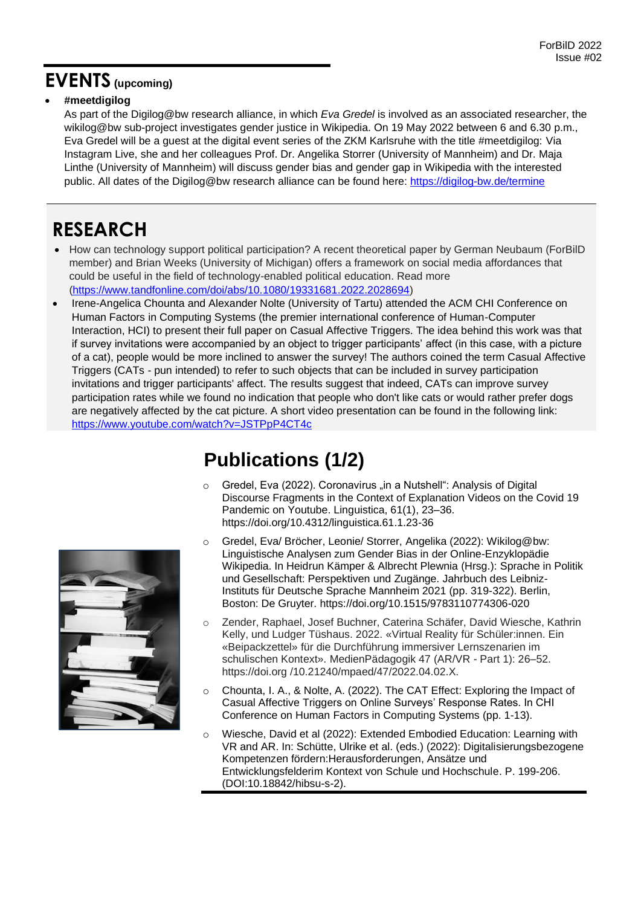### **EVENTS (upcoming)**

#### • **#meetdigilog**

As part of the Digilog@bw research alliance, in which *Eva Gredel* is involved as an associated researcher, the wikilog@bw sub-project investigates gender justice in Wikipedia. On 19 May 2022 between 6 and 6.30 p.m., Eva Gredel will be a guest at the digital event series of the ZKM Karlsruhe with the title #meetdigilog: Via Instagram Live, she and her colleagues Prof. Dr. Angelika Storrer (University of Mannheim) and Dr. Maja Linthe (University of Mannheim) will discuss gender bias and gender gap in Wikipedia with the interested public. All dates of the Digilog@bw research alliance can be found here:<https://digilog-bw.de/termine>

### **RESEARCH**

- How can technology support political participation? A recent theoretical paper by German Neubaum (ForBilD member) and Brian Weeks (University of Michigan) offers a framework on social media affordances that could be useful in the field of technology-enabled political education. Read more [\(https://www.tandfonline.com/doi/abs/10.1080/19331681.2022.2028694\)](https://www.tandfonline.com/doi/abs/10.1080/19331681.2022.2028694)
- Irene-Angelica Chounta and Alexander Nolte (University of Tartu) attended the ACM CHI Conference on Human Factors in Computing Systems (the premier international conference of Human-Computer Interaction, HCI) to present their full paper on Casual Affective Triggers. The idea behind this work was that if survey invitations were accompanied by an object to trigger participants' affect (in this case, with a picture of a cat), people would be more inclined to answer the survey! The authors coined the term Casual Affective Triggers (CATs - pun intended) to refer to such objects that can be included in survey participation invitations and trigger participants' affect. The results suggest that indeed, CATs can improve survey participation rates while we found no indication that people who don't like cats or would rather prefer dogs are negatively affected by the cat picture. A short video presentation can be found in the following link: <https://www.youtube.com/watch?v=JSTPpP4CT4c>



# **Publications (1/2)**

- Gredel, Eva (2022). Coronavirus "in a Nutshell": Analysis of Digital Discourse Fragments in the Context of Explanation Videos on the Covid 19 Pandemic on Youtube. Linguistica, 61(1), 23–36. https://doi.org/10.4312/linguistica.61.1.23-36
- o Gredel, Eva/ Bröcher, Leonie/ Storrer, Angelika (2022): Wikilog@bw: Linguistische Analysen zum Gender Bias in der Online-Enzyklopädie Wikipedia. In Heidrun Kämper & Albrecht Plewnia (Hrsg.): Sprache in Politik und Gesellschaft: Perspektiven und Zugänge. Jahrbuch des Leibniz-Instituts für Deutsche Sprache Mannheim 2021 (pp. 319-322). Berlin, Boston: De Gruyter. https://doi.org/10.1515/9783110774306-020
- o Zender, Raphael, Josef Buchner, Caterina Schäfer, David Wiesche, Kathrin Kelly, und Ludger Tüshaus. 2022. «Virtual Reality für Schüler:innen. Ein «Beipackzettel» für die Durchführung immersiver Lernszenarien im schulischen Kontext». MedienPädagogik 47 (AR/VR - Part 1): 26–52. https://doi.org /10.21240/mpaed/47/2022.04.02.X.
- o Chounta, I. A., & Nolte, A. (2022). The CAT Effect: Exploring the Impact of Casual Affective Triggers on Online Surveys' Response Rates. In CHI Conference on Human Factors in Computing Systems (pp. 1-13).
- o Wiesche, David et al (2022): Extended Embodied Education: Learning with VR and AR. In: Schütte, Ulrike et al. (eds.) (2022): Digitalisierungsbezogene Kompetenzen fördern:Herausforderungen, Ansätze und Entwicklungsfelderim Kontext von Schule und Hochschule. P. 199-206. (DOI:10.18842/hibsu-s-2).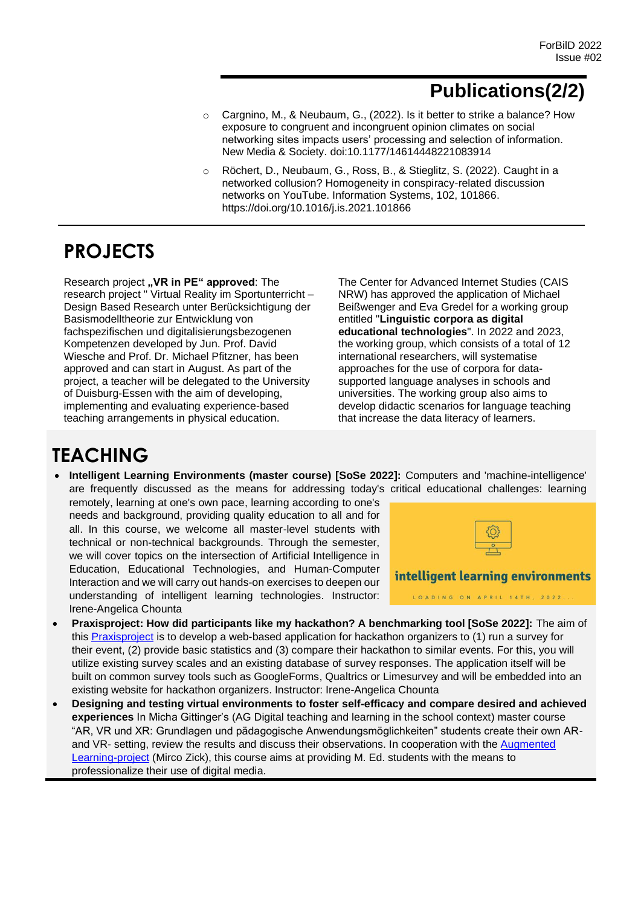# **Publications(2/2)**

- o Cargnino, M., & Neubaum, G., (2022). Is it better to strike a balance? How exposure to congruent and incongruent opinion climates on social networking sites impacts users' processing and selection of information. New Media & Society. doi:10.1177/14614448221083914
- o Röchert, D., Neubaum, G., Ross, B., & Stieglitz, S. (2022). Caught in a networked collusion? Homogeneity in conspiracy-related discussion networks on YouTube. Information Systems, 102, 101866. https://doi.org/10.1016/j.is.2021.101866

# **PROJECTS**

Research project "VR in PE" approved: The research project " Virtual Reality im Sportunterricht – Design Based Research unter Berücksichtigung der Basismodelltheorie zur Entwicklung von fachspezifischen und digitalisierungsbezogenen Kompetenzen developed by Jun. Prof. David Wiesche and Prof. Dr. Michael Pfitzner, has been approved and can start in August. As part of the project, a teacher will be delegated to the University of Duisburg-Essen with the aim of developing, implementing and evaluating experience-based teaching arrangements in physical education.

The Center for Advanced Internet Studies (CAIS NRW) has approved the application of Michael Beißwenger and Eva Gredel for a working group entitled "**Linguistic corpora as digital educational technologies**". In 2022 and 2023, the working group, which consists of a total of 12 international researchers, will systematise approaches for the use of corpora for datasupported language analyses in schools and universities. The working group also aims to develop didactic scenarios for language teaching that increase the data literacy of learners.

# **TEACHING**

• **Intelligent Learning Environments (master course) [SoSe 2022]:** Computers and 'machine-intelligence' are frequently discussed as the means for addressing today's critical educational challenges: learning

remotely, learning at one's own pace, learning according to one's needs and background, providing quality education to all and for all. In this course, we welcome all master-level students with technical or non-technical backgrounds. Through the semester, we will cover topics on the intersection of Artificial Intelligence in Education, Educational Technologies, and Human-Computer Interaction and we will carry out hands-on exercises to deepen our understanding of intelligent learning technologies. Instructor: Irene-Angelica Chounta



- **Praxisproject: How did participants like my hackathon? A benchmarking tool [SoSe 2022]:** The aim of this [Praxisproject](https://tinyurl.com/yrspwc95) is to develop a web-based application for hackathon organizers to (1) run a survey for their event, (2) provide basic statistics and (3) compare their hackathon to similar events. For this, you will utilize existing survey scales and an existing database of survey responses. The application itself will be built on common survey tools such as GoogleForms, Qualtrics or Limesurvey and will be embedded into an existing website for hackathon organizers. Instructor: Irene-Angelica Chounta
- **Designing and testing virtual environments to foster self-efficacy and compare desired and achieved experiences** In Micha Gittinger's (AG Digital teaching and learning in the school context) master course "AR, VR und XR: Grundlagen und pädagogische Anwendungsmöglichkeiten" students create their own ARand VR- setting, review the results and discuss their observations. In cooperation with the Augmented [Learning-project](https://www.uni-due.de/zim/services/augmented-reality-app.php) (Mirco Zick), this course aims at providing M. Ed. students with the means to professionalize their use of digital media.